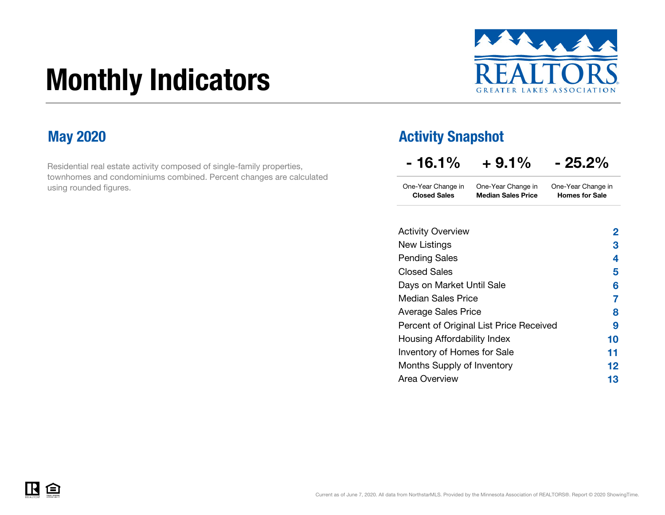# Monthly Indicators



Residential real estate activity composed of single-family properties, townhomes and condominiums combined. Percent changes are calculated using rounded figures.

### May 2020 **May 2020 Activity Snapshot**

| - 16.1%                                   | $+9.1\%$                                        | $-25.2\%$                                   |  |  |  |  |
|-------------------------------------------|-------------------------------------------------|---------------------------------------------|--|--|--|--|
| One-Year Change in<br><b>Closed Sales</b> | One-Year Change in<br><b>Median Sales Price</b> | One-Year Change in<br><b>Homes for Sale</b> |  |  |  |  |
| <b>Activity Overview</b>                  |                                                 | 2                                           |  |  |  |  |
| New Listings                              |                                                 | 3                                           |  |  |  |  |
| <b>Pending Sales</b>                      |                                                 |                                             |  |  |  |  |
| Closed Sales                              |                                                 |                                             |  |  |  |  |
| Days on Market Until Sale                 |                                                 |                                             |  |  |  |  |
| Median Sales Price                        |                                                 |                                             |  |  |  |  |
| <b>Average Sales Price</b>                |                                                 |                                             |  |  |  |  |
| Percent of Original List Price Received   |                                                 |                                             |  |  |  |  |



Months Supply of Inventory

Housing Affordability Index Inventory of Homes for Sale

Area Overview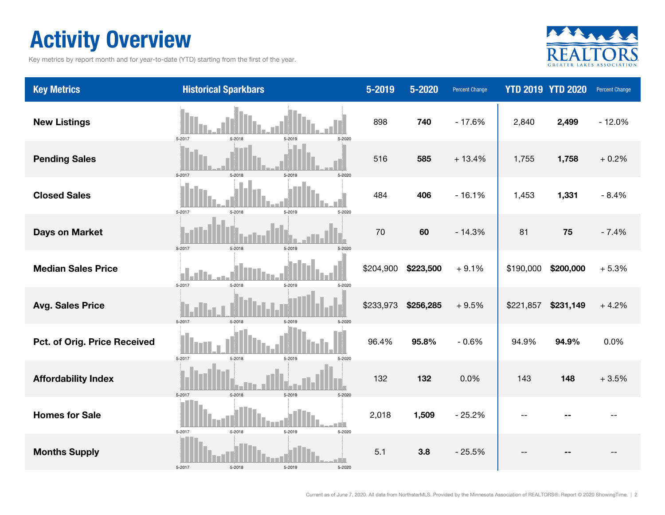### Activity Overview

Key metrics by report month and for year-to-date (YTD) starting from the first of the year.



| <b>Key Metrics</b>           | <b>Historical Sparkbars</b>                 | 5-2019    | 5-2020    | <b>Percent Change</b> |           | <b>YTD 2019 YTD 2020</b> | <b>Percent Change</b> |
|------------------------------|---------------------------------------------|-----------|-----------|-----------------------|-----------|--------------------------|-----------------------|
| <b>New Listings</b>          | 5-2017<br>5-2018<br>5-2019<br>5-2020        | 898       | 740       | $-17.6%$              | 2,840     | 2,499                    | $-12.0%$              |
| <b>Pending Sales</b>         | 5-2017<br>5-2018<br>5-2019<br>5-2020        | 516       | 585       | $+13.4%$              | 1,755     | 1,758                    | $+0.2%$               |
| <b>Closed Sales</b>          | 5-2017<br>5-2018<br>5-2019<br>5-2020        | 484       | 406       | $-16.1%$              | 1,453     | 1,331                    | $-8.4%$               |
| <b>Days on Market</b>        | 5-2017<br>5-2018<br>5-2019                  | 70        | 60        | $-14.3%$              | 81        | 75                       | $-7.4%$               |
| <b>Median Sales Price</b>    | 5-2017<br>5-2018<br>5-2019<br>5-2020        | \$204,900 | \$223,500 | $+9.1%$               | \$190,000 | \$200,000                | $+5.3%$               |
| <b>Avg. Sales Price</b>      | 5-2017<br>5-2018<br>5-2019<br>$5 - 2020$    | \$233,973 | \$256,285 | $+9.5%$               | \$221,857 | \$231,149                | $+4.2%$               |
| Pct. of Orig. Price Received | 5-2017<br>5-2018<br>5-2019<br>5-2020        | 96.4%     | 95.8%     | $-0.6%$               | 94.9%     | 94.9%                    | 0.0%                  |
| <b>Affordability Index</b>   | 5-2018<br>5-2017<br>5-2019<br>5-2020        | 132       | 132       | 0.0%                  | 143       | 148                      | $+3.5%$               |
| <b>Homes for Sale</b>        | 5-2017<br>5-2018<br>5-2019<br>5-2020        | 2,018     | 1,509     | $-25.2%$              |           |                          |                       |
| <b>Months Supply</b>         | T B<br>5-2017<br>5-2018<br>5-2019<br>5-2020 | 5.1       | 3.8       | $-25.5%$              |           |                          |                       |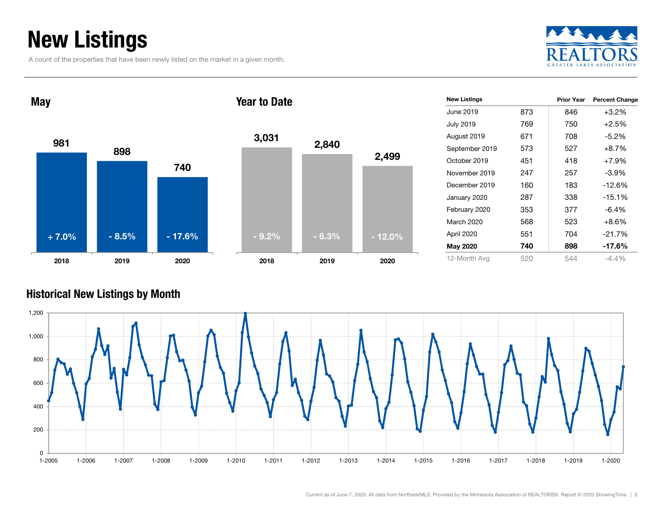### New Listings

A count of the properties that have been newly listed on the market in a given month.





#### Historical New Listings by Month

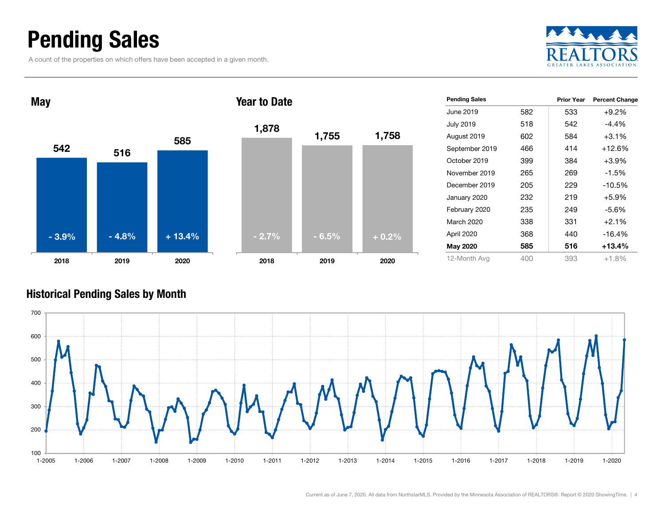### Pending Sales

A count of the properties on which offers have been accepted in a given month.





#### Historical Pending Sales by Month

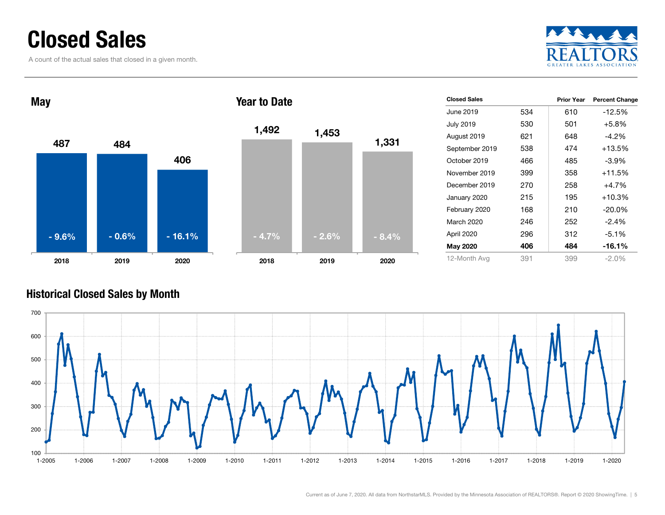### Closed Sales

A count of the actual sales that closed in a given month.





#### Historical Closed Sales by Month

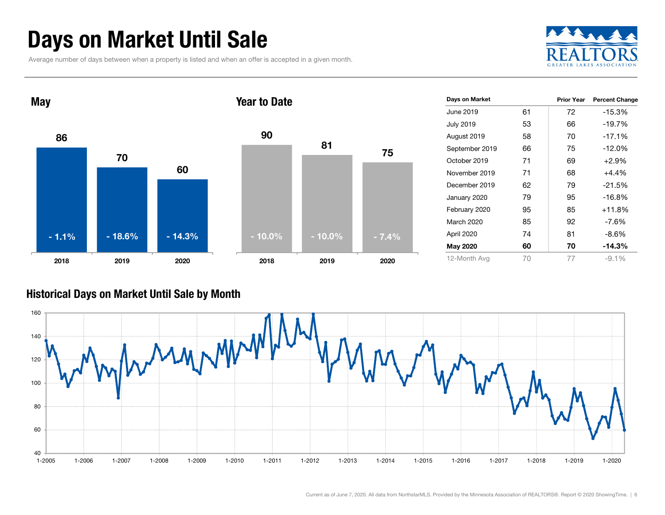### Days on Market Until Sale

Average number of days between when a property is listed and when an offer is accepted in a given month.





| Days on Market   |    | <b>Prior Year</b> | <b>Percent Change</b> |
|------------------|----|-------------------|-----------------------|
| June 2019        | 61 | 72                | $-15.3%$              |
| <b>July 2019</b> | 53 | 66                | $-19.7%$              |
| August 2019      | 58 | 70                | $-17.1%$              |
| September 2019   | 66 | 75                | $-12.0%$              |
| October 2019     | 71 | 69                | $+2.9%$               |
| November 2019    | 71 | 68                | $+4.4%$               |
| December 2019    | 62 | 79                | $-21.5%$              |
| January 2020     | 79 | 95                | $-16.8%$              |
| February 2020    | 95 | 85                | $+11.8%$              |
| March 2020       | 85 | 92                | -7.6%                 |
| April 2020       | 74 | 81                | -8.6%                 |
| <b>May 2020</b>  | 60 | 70                | -14.3%                |
| 12-Month Avg     | 70 | 77                | $-9.1\%$              |

#### Historical Days on Market Until Sale by Month

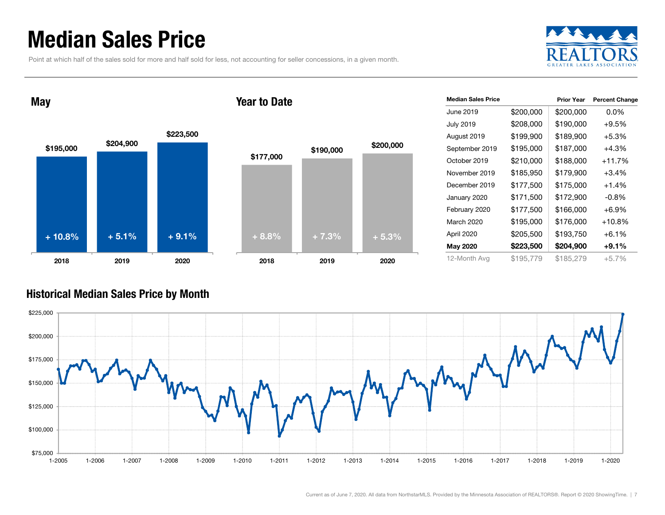### Median Sales Price

Point at which half of the sales sold for more and half sold for less, not accounting for seller concessions, in a given month.



May

#### Year to Date



| <b>Median Sales Price</b> |           | <b>Prior Year</b> | <b>Percent Change</b> |
|---------------------------|-----------|-------------------|-----------------------|
| June 2019                 | \$200,000 | \$200,000         | $0.0\%$               |
| <b>July 2019</b>          | \$208,000 | \$190,000         | $+9.5%$               |
| August 2019               | \$199,900 | \$189,900         | $+5.3%$               |
| September 2019            | \$195,000 | \$187,000         | $+4.3%$               |
| October 2019              | \$210,000 | \$188,000         | $+11.7%$              |
| November 2019             | \$185,950 | \$179,900         | $+3.4%$               |
| December 2019             | \$177,500 | \$175,000         | $+1.4%$               |
| January 2020              | \$171,500 | \$172,900         | $-0.8\%$              |
| February 2020             | \$177,500 | \$166,000         | $+6.9%$               |
| March 2020                | \$195,000 | \$176,000         | +10.8%                |
| April 2020                | \$205,500 | \$193,750         | $+6.1%$               |
| May 2020                  | \$223,500 | \$204,900         | $+9.1%$               |
| 12-Month Avg              | \$195,779 | \$185,279         | $+5.7%$               |

#### Historical Median Sales Price by Month

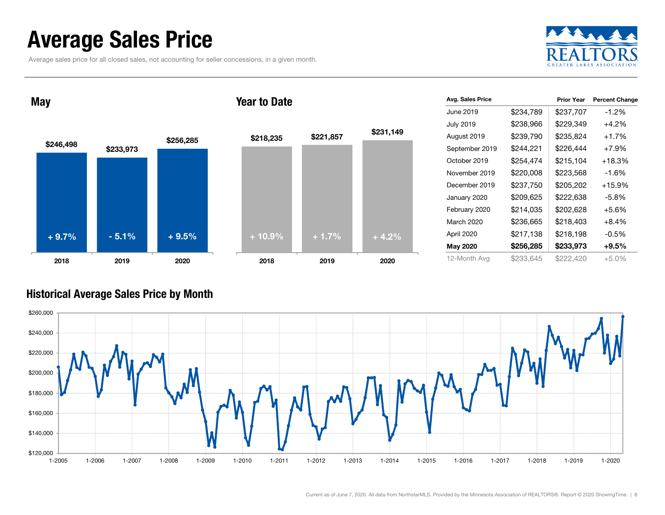### Average Sales Price

Average sales price for all closed sales, not accounting for seller concessions, in a given month.





| Avg. Sales Price |           | <b>Prior Year</b> | <b>Percent Change</b> |
|------------------|-----------|-------------------|-----------------------|
| June 2019        | \$234,789 | \$237,707         | $-1.2\%$              |
| <b>July 2019</b> | \$238,966 | \$229,349         | $+4.2%$               |
| August 2019      | \$239,790 | \$235,824         | $+1.7%$               |
| September 2019   | \$244,221 | \$226,444         | $+7.9%$               |
| October 2019     | \$254,474 | \$215,104         | +18.3%                |
| November 2019    | \$220,008 | \$223,568         | -1.6%                 |
| December 2019    | \$237,750 | \$205,202         | +15.9%                |
| January 2020     | \$209,625 | \$222,638         | $-5.8%$               |
| February 2020    | \$214,035 | \$202,628         | $+5.6\%$              |
| March 2020       | \$236,665 | \$218,403         | $+8.4%$               |
| April 2020       | \$217,138 | \$218,198         | $-0.5%$               |
| <b>May 2020</b>  | \$256,285 | \$233,973         | $+9.5%$               |
| 12-Month Avg     | \$233,645 | \$222,420         | $+5.0%$               |

#### Historical Average Sales Price by Month

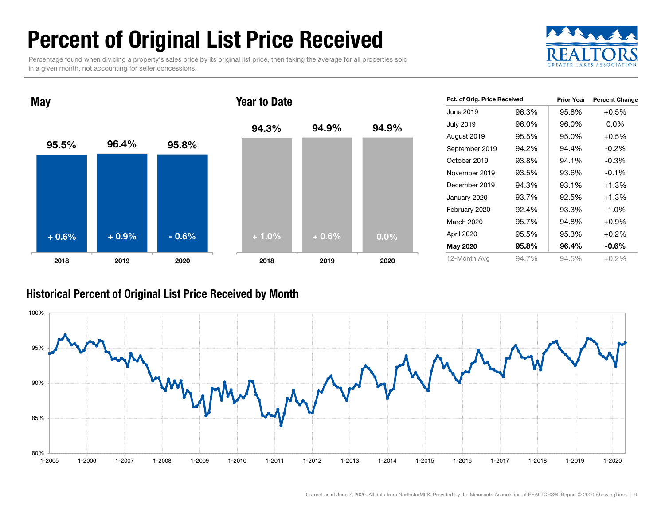### Percent of Original List Price Received

Percentage found when dividing a property's sales price by its original list price, then taking the average for all properties sold in a given month, not accounting for seller concessions.





| Pct. of Orig. Price Received |       | <b>Prior Year</b> | <b>Percent Change</b> |
|------------------------------|-------|-------------------|-----------------------|
| June 2019                    | 96.3% | 95.8%             | $+0.5%$               |
| <b>July 2019</b>             | 96.0% | 96.0%             | $0.0\%$               |
| August 2019                  | 95.5% | 95.0%             | $+0.5%$               |
| September 2019               | 94.2% | 94.4%             | $-0.2\%$              |
| October 2019                 | 93.8% | 94.1%             | $-0.3\%$              |
| November 2019                | 93.5% | 93.6%             | $-0.1\%$              |
| December 2019                | 94.3% | 93.1%             | $+1.3%$               |
| January 2020                 | 93.7% | 92.5%             | $+1.3%$               |
| February 2020                | 92.4% | 93.3%             | $-1.0\%$              |
| March 2020                   | 95.7% | 94.8%             | $+0.9%$               |
| April 2020                   | 95.5% | 95.3%             | $+0.2%$               |
| May 2020                     | 95.8% | 96.4%             | -0.6%                 |
| 12-Month Avg                 | 94.7% | 94.5%             | $+0.2%$               |

#### Historical Percent of Original List Price Received by Month

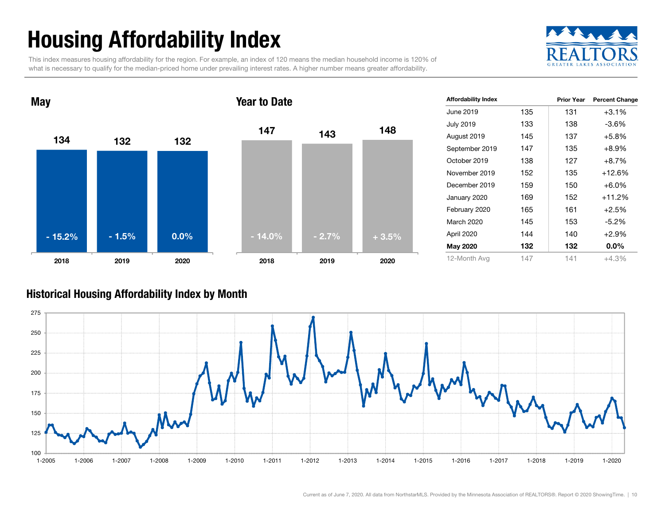## Housing Affordability Index

This index measures housing affordability for the region. For example, an index of 120 means the median household income is 120% of what is necessary to qualify for the median-priced home under prevailing interest rates. A higher number means greater affordability.





| <b>Affordability Index</b> |     | Prior Year | <b>Percent Change</b> |
|----------------------------|-----|------------|-----------------------|
| June 2019                  | 135 | 131        | $+3.1%$               |
| <b>July 2019</b>           | 133 | 138        | -3.6%                 |
| August 2019                | 145 | 137        | $+5.8%$               |
| September 2019             | 147 | 135        | $+8.9%$               |
| October 2019               | 138 | 127        | $+8.7%$               |
| November 2019              | 152 | 135        | +12.6%                |
| December 2019              | 159 | 150        | $+6.0\%$              |
| January 2020               | 169 | 152        | $+11.2%$              |
| February 2020              | 165 | 161        | $+2.5%$               |
| March 2020                 | 145 | 153        | $-5.2%$               |
| April 2020                 | 144 | 140        | $+2.9%$               |
| <b>May 2020</b>            | 132 | 132        | $0.0\%$               |
| 12-Month Avg               | 147 | 141        | $+4.3%$               |

#### Historical Housing Affordability Index by Mont h

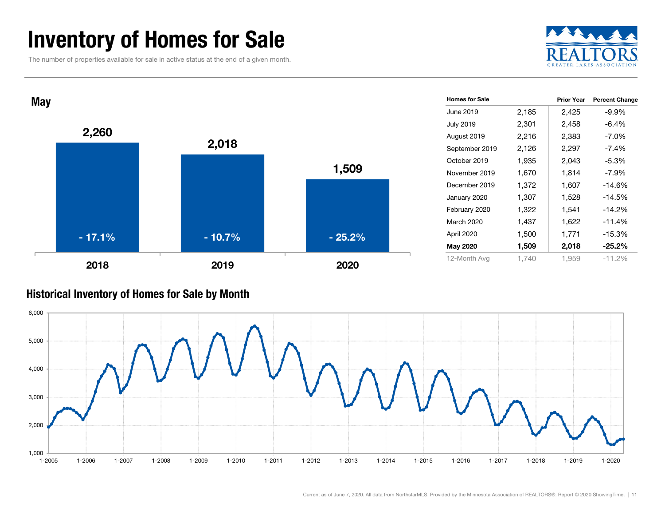### Inventory of Homes for Sale

The number of properties available for sale in active status at the end of a given month.





#### Historical Inventory of Homes for Sale by Month

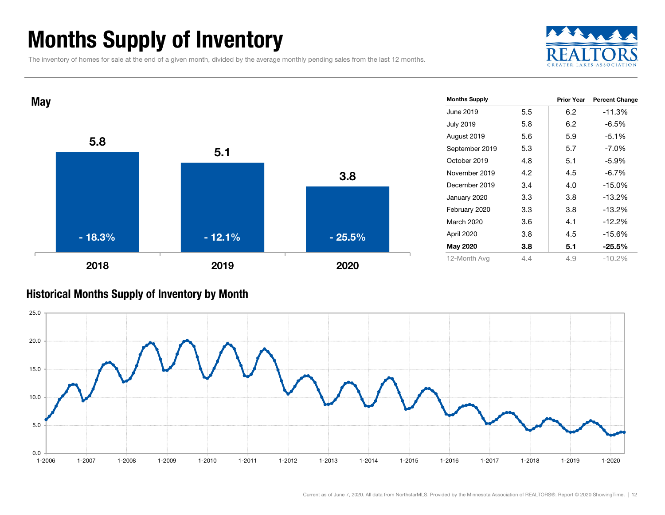### Months Supply of Inventory

The inventory of homes for sale at the end of a given month, divided by the average monthly pending sales from the last 12 months.





#### Historical Months Supply of Inventory by Month